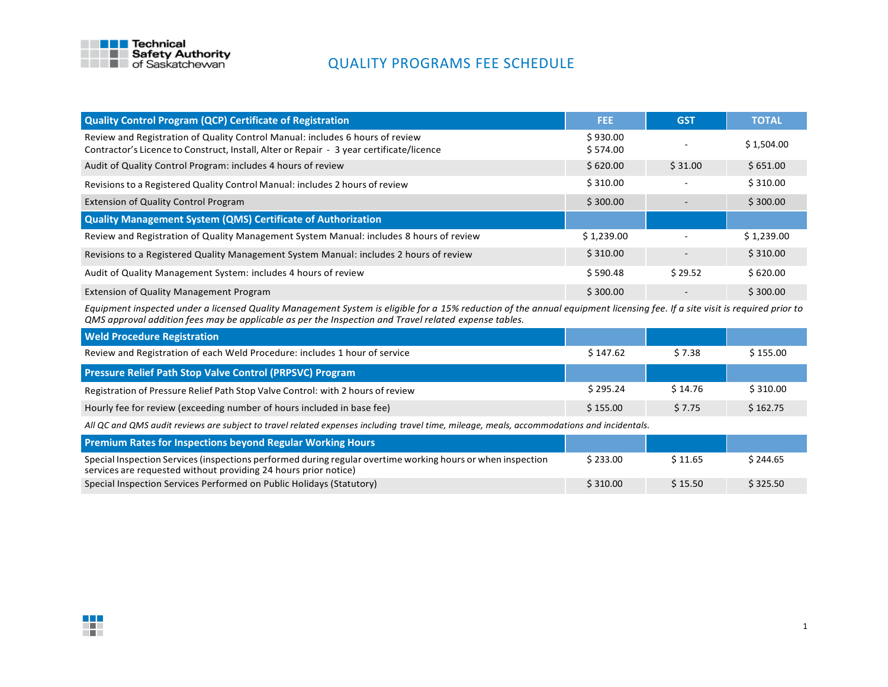

## QUALITY PROGRAMS FEE SCHEDULE

| <b>Quality Control Program (QCP) Certificate of Registration</b>                                                                                                          | <b>FEE</b>           | <b>GST</b>               | <b>TOTAL</b> |
|---------------------------------------------------------------------------------------------------------------------------------------------------------------------------|----------------------|--------------------------|--------------|
| Review and Registration of Quality Control Manual: includes 6 hours of review<br>Contractor's Licence to Construct, Install, Alter or Repair - 3 year certificate/licence | \$930.00<br>\$574.00 |                          | \$1,504.00   |
| Audit of Quality Control Program: includes 4 hours of review                                                                                                              | \$620.00             | \$31.00                  | \$651.00     |
| Revisions to a Registered Quality Control Manual: includes 2 hours of review                                                                                              | \$310.00             |                          | \$310.00     |
| <b>Extension of Quality Control Program</b>                                                                                                                               | \$300.00             |                          | \$300.00     |
| Quality Management System (QMS) Certificate of Authorization                                                                                                              |                      |                          |              |
| Review and Registration of Quality Management System Manual: includes 8 hours of review                                                                                   | \$1,239.00           |                          | \$1,239.00   |
| Revisions to a Registered Quality Management System Manual: includes 2 hours of review                                                                                    | \$310.00             |                          | \$310.00     |
| Audit of Quality Management System: includes 4 hours of review                                                                                                            | \$590.48             | \$29.52                  | \$620.00     |
| Extension of Quality Management Program                                                                                                                                   | \$300.00             | $\overline{\phantom{a}}$ | \$300.00     |

*Equipment inspected under a licensed Quality Management System is eligible for a 15% reduction of the annual equipment licensing fee. If a site visit is required prior to QMS approval addition fees may be applicable as per the Inspection and Travel related expense tables.*

| <b>Weld Procedure Registration</b>                                              |          |         |          |
|---------------------------------------------------------------------------------|----------|---------|----------|
| Review and Registration of each Weld Procedure: includes 1 hour of service      | \$147.62 | \$7.38  | \$155.00 |
| Pressure Relief Path Stop Valve Control (PRPSVC) Program                        |          |         |          |
| Registration of Pressure Relief Path Stop Valve Control: with 2 hours of review | \$295.24 | \$14.76 | \$310.00 |
| Hourly fee for review (exceeding number of hours included in base fee)          | \$155.00 | \$7.75  | \$162.75 |

*All QC and QMS audit reviews are subject to travel related expenses including travel time, mileage, meals, accommodations and incidentals.*

| <b>Premium Rates for Inspections beyond Regular Working Hours</b>                                                                                                              |          |         |          |
|--------------------------------------------------------------------------------------------------------------------------------------------------------------------------------|----------|---------|----------|
| Special Inspection Services (inspections performed during regular overtime working hours or when inspection<br>services are requested without providing 24 hours prior notice) | \$233.00 | \$11.65 | \$244.65 |
| Special Inspection Services Performed on Public Holidays (Statutory)                                                                                                           | \$310.00 | \$15.50 | \$325.50 |